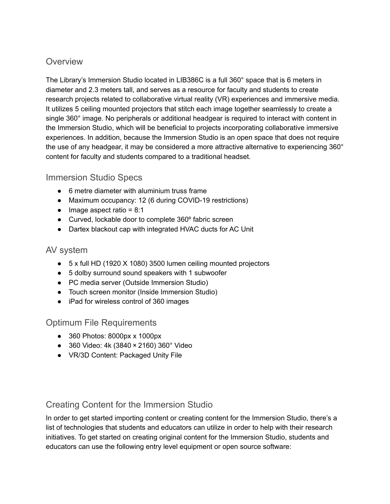## **Overview**

The Library's Immersion Studio located in LIB386C is a full 360° space that is 6 meters in diameter and 2.3 meters tall, and serves as a resource for faculty and students to create research projects related to collaborative virtual reality (VR) experiences and immersive media. It utilizes 5 ceiling mounted projectors that stitch each image together seamlessly to create a single 360° image. No peripherals or additional headgear is required to interact with content in the Immersion Studio, which will be beneficial to projects incorporating collaborative immersive experiences. In addition, because the Immersion Studio is an open space that does not require the use of any headgear, it may be considered a more attractive alternative to experiencing 360° content for faculty and students compared to a traditional headset.

## Immersion Studio Specs

- 6 metre diameter with aluminium truss frame
- Maximum occupancy: 12 (6 during COVID-19 restrictions)
- $\bullet$  Image aspect ratio = 8:1
- Curved, lockable door to complete 360º fabric screen
- Dartex blackout cap with integrated HVAC ducts for AC Unit

## AV system

- 5 x full HD (1920 X 1080) 3500 lumen ceiling mounted projectors
- 5 dolby surround sound speakers with 1 subwoofer
- PC media server (Outside Immersion Studio)
- Touch screen monitor (Inside Immersion Studio)
- iPad for wireless control of 360 images

## Optimum File Requirements

- 360 Photos: 8000px x 1000px
- 360 Video: 4k (3840 × 2160) 360° Video
- VR/3D Content: Packaged Unity File

# Creating Content for the Immersion Studio

In order to get started importing content or creating content for the Immersion Studio, there's a list of technologies that students and educators can utilize in order to help with their research initiatives. To get started on creating original content for the Immersion Studio, students and educators can use the following entry level equipment or open source software: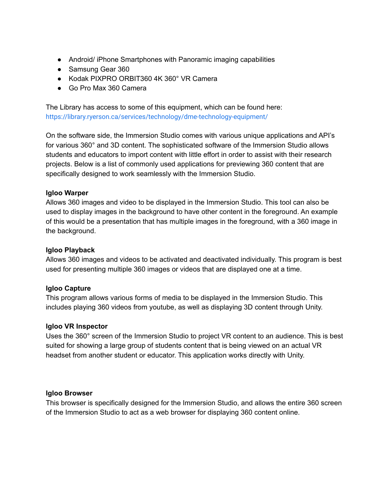- Android/ iPhone Smartphones with Panoramic imaging capabilities
- Samsung Gear 360
- Kodak PIXPRO ORBIT360 4K 360° VR Camera
- Go Pro Max 360 Camera

The Library has access to some of this equipment, which can be found here: <https://library.ryerson.ca/services/technology/dme-technology-equipment/>

On the software side, the Immersion Studio comes with various unique applications and API's for various 360° and 3D content. The sophisticated software of the Immersion Studio allows students and educators to import content with little effort in order to assist with their research projects. Below is a list of commonly used applications for previewing 360 content that are specifically designed to work seamlessly with the Immersion Studio.

### **Igloo Warper**

Allows 360 images and video to be displayed in the Immersion Studio. This tool can also be used to display images in the background to have other content in the foreground. An example of this would be a presentation that has multiple images in the foreground, with a 360 image in the background.

#### **Igloo Playback**

Allows 360 images and videos to be activated and deactivated individually. This program is best used for presenting multiple 360 images or videos that are displayed one at a time.

### **Igloo Capture**

This program allows various forms of media to be displayed in the Immersion Studio. This includes playing 360 videos from youtube, as well as displaying 3D content through Unity.

#### **Igloo VR Inspector**

Uses the 360° screen of the Immersion Studio to project VR content to an audience. This is best suited for showing a large group of students content that is being viewed on an actual VR headset from another student or educator. This application works directly with Unity.

#### **Igloo Browser**

This browser is specifically designed for the Immersion Studio, and allows the entire 360 screen of the Immersion Studio to act as a web browser for displaying 360 content online.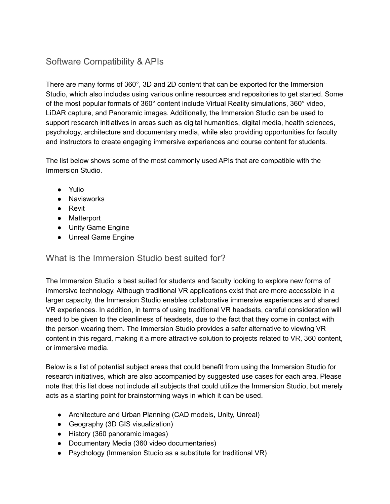# Software Compatibility & APIs

There are many forms of 360°, 3D and 2D content that can be exported for the Immersion Studio, which also includes using various online resources and repositories to get started. Some of the most popular formats of 360° content include Virtual Reality simulations, 360° video, LiDAR capture, and Panoramic images. Additionally, the Immersion Studio can be used to support research initiatives in areas such as digital humanities, digital media, health sciences, psychology, architecture and documentary media, while also providing opportunities for faculty and instructors to create engaging immersive experiences and course content for students.

The list below shows some of the most commonly used APIs that are compatible with the Immersion Studio.

- Yulio
- Navisworks
- Revit
- Matterport
- Unity Game Engine
- Unreal Game Engine

## What is the Immersion Studio best suited for?

The Immersion Studio is best suited for students and faculty looking to explore new forms of immersive technology. Although traditional VR applications exist that are more accessible in a larger capacity, the Immersion Studio enables collaborative immersive experiences and shared VR experiences. In addition, in terms of using traditional VR headsets, careful consideration will need to be given to the cleanliness of headsets, due to the fact that they come in contact with the person wearing them. The Immersion Studio provides a safer alternative to viewing VR content in this regard, making it a more attractive solution to projects related to VR, 360 content, or immersive media.

Below is a list of potential subject areas that could benefit from using the Immersion Studio for research initiatives, which are also accompanied by suggested use cases for each area. Please note that this list does not include all subjects that could utilize the Immersion Studio, but merely acts as a starting point for brainstorming ways in which it can be used.

- Architecture and Urban Planning (CAD models, Unity, Unreal)
- Geography (3D GIS visualization)
- History (360 panoramic images)
- Documentary Media (360 video documentaries)
- Psychology (Immersion Studio as a substitute for traditional VR)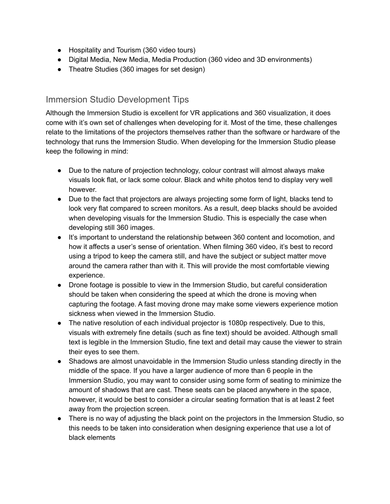- Hospitality and Tourism (360 video tours)
- Digital Media, New Media, Media Production (360 video and 3D environments)
- Theatre Studies (360 images for set design)

## Immersion Studio Development Tips

Although the Immersion Studio is excellent for VR applications and 360 visualization, it does come with it's own set of challenges when developing for it. Most of the time, these challenges relate to the limitations of the projectors themselves rather than the software or hardware of the technology that runs the Immersion Studio. When developing for the Immersion Studio please keep the following in mind:

- Due to the nature of projection technology, colour contrast will almost always make visuals look flat, or lack some colour. Black and white photos tend to display very well however.
- Due to the fact that projectors are always projecting some form of light, blacks tend to look very flat compared to screen monitors. As a result, deep blacks should be avoided when developing visuals for the Immersion Studio. This is especially the case when developing still 360 images.
- It's important to understand the relationship between 360 content and locomotion, and how it affects a user's sense of orientation. When filming 360 video, it's best to record using a tripod to keep the camera still, and have the subject or subject matter move around the camera rather than with it. This will provide the most comfortable viewing experience.
- Drone footage is possible to view in the Immersion Studio, but careful consideration should be taken when considering the speed at which the drone is moving when capturing the footage. A fast moving drone may make some viewers experience motion sickness when viewed in the Immersion Studio.
- The native resolution of each individual projector is 1080p respectively. Due to this, visuals with extremely fine details (such as fine text) should be avoided. Although small text is legible in the Immersion Studio, fine text and detail may cause the viewer to strain their eyes to see them.
- Shadows are almost unavoidable in the Immersion Studio unless standing directly in the middle of the space. If you have a larger audience of more than 6 people in the Immersion Studio, you may want to consider using some form of seating to minimize the amount of shadows that are cast. These seats can be placed anywhere in the space, however, it would be best to consider a circular seating formation that is at least 2 feet away from the projection screen.
- There is no way of adjusting the black point on the projectors in the Immersion Studio, so this needs to be taken into consideration when designing experience that use a lot of black elements